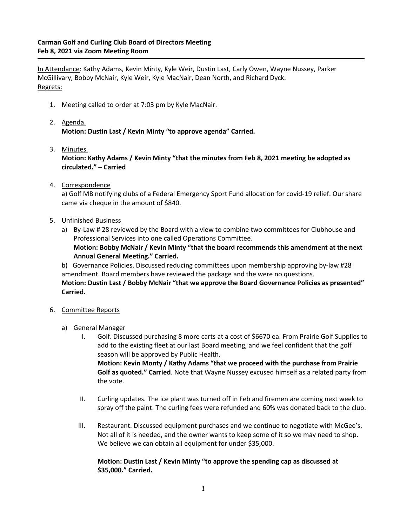In Attendance: Kathy Adams, Kevin Minty, Kyle Weir, Dustin Last, Carly Owen, Wayne Nussey, Parker McGillivary, Bobby McNair, Kyle Weir, Kyle MacNair, Dean North, and Richard Dyck. Regrets:

- 1. Meeting called to order at 7:03 pm by Kyle MacNair.
- 2. Agenda. **Motion: Dustin Last / Kevin Minty "to approve agenda" Carried.**
- 3. Minutes. **Motion: Kathy Adams / Kevin Minty "that the minutes from Feb 8, 2021 meeting be adopted as circulated." – Carried**
- 4. Correspondence

a) Golf MB notifying clubs of a Federal Emergency Sport Fund allocation for covid-19 relief. Our share came via cheque in the amount of \$840.

- 5. Unfinished Business
	- a) By-Law # 28 reviewed by the Board with a view to combine two committees for Clubhouse and Professional Services into one called Operations Committee. **Motion: Bobby McNair / Kevin Minty "that the board recommends this amendment at the next Annual General Meeting." Carried.**

b) Governance Policies. Discussed reducing committees upon membership approving by-law #28 amendment. Board members have reviewed the package and the were no questions.

**Motion: Dustin Last / Bobby McNair "that we approve the Board Governance Policies as presented" Carried.**

- 6. Committee Reports
	- a) General Manager
		- I. Golf. Discussed purchasing 8 more carts at a cost of \$6670 ea. From Prairie Golf Supplies to add to the existing fleet at our last Board meeting, and we feel confident that the golf season will be approved by Public Health. **Motion: Kevin Monty / Kathy Adams "that we proceed with the purchase from Prairie Golf as quoted." Carried**. Note that Wayne Nussey excused himself as a related party from the vote.
		- II. Curling updates. The ice plant was turned off in Feb and firemen are coming next week to spray off the paint. The curling fees were refunded and 60% was donated back to the club.
		- III. Restaurant. Discussed equipment purchases and we continue to negotiate with McGee's. Not all of it is needed, and the owner wants to keep some of it so we may need to shop. We believe we can obtain all equipment for under \$35,000.

## **Motion: Dustin Last / Kevin Minty "to approve the spending cap as discussed at \$35,000." Carried.**